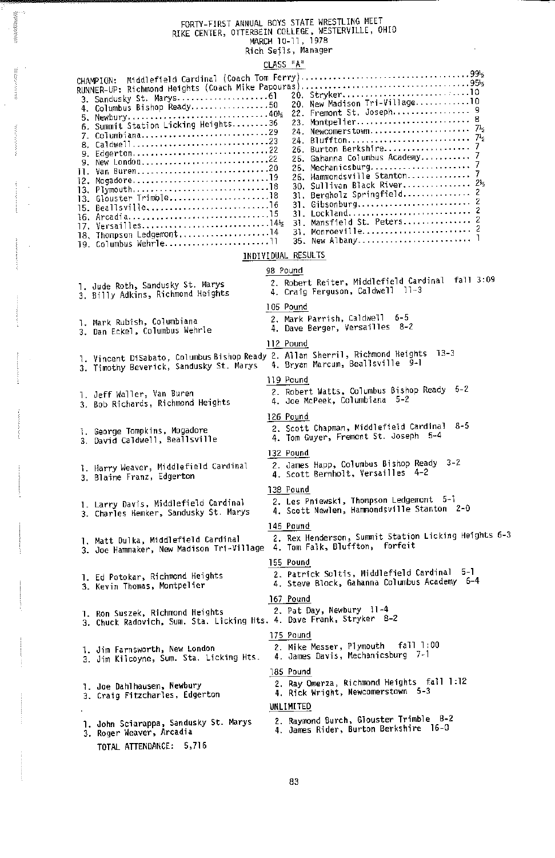# FORTV-HRST ANNUAL BOVS STATE WRESTLING MEET RIKE CENTER, OTTERBEIN COLLEGE, HESTERVILLE, OHIO MARCH 10-11, 1978 Rich Sells, Manager

 $\sim$  0.000  $\sim$ 

| 20. Stryker10<br>20. New Madison Tri-Village10<br>4. Columbus Bishop Ready50<br>6. Summit Station Licking Heights36<br>26. Gahanna Columbus Academy 7<br>11. Van Buren20<br>26. Hammondsville Stanton 7<br>30. Sullivan Black River 212<br>31. Bergholz Springfield 2<br>17. Versailles144<br>18. Thompson Ledgemont14<br>19. Columbus Wehrle11<br>INDIVIDUAL RESULTS<br>98 Pound<br>2. Robert Reiter, Middlefield Cardinal fall 3:09<br>1. Jude Roth, Sandusky St. Marys<br>4. Craig Ferguson, Caldwell 11-3<br>3. Billy Adkins, Richmond Heights<br>105 Pound<br>2. Mark Parrish, Caldwell 6-5<br>1. Mark Rubish, Columbiana<br>4. Dave Berger, Versailles 8-2<br>3. Dan Eckel, Columbus Wehrle<br>112 Pound<br>l. Vincent DiSabato, Columbus Bishop Ready 2. Allan Sherril, Richmond Heights  13-3<br>3. Timothy Beverick, Sandusky St. Marys   4. Bryan Marcum, Beallsville  9-1<br>119 Pound<br>2. Robert Watts, Columbus Bishop Ready 5-2<br>i. Jeff Waller, Van Buren<br>4. Joe McPeek, Columbiana 5-2<br>3. Bob Richards, Richmond Heights<br>126 Pound<br>2. Scott Chapman, Middlefield Cardinal 8-5<br>1. George Tompkins, Mogadore<br>4. Tom Guyer, Fremont St. Joseph 5-4<br>3. David Caldwell, Beallsville<br>132 Pound<br>2. James Happ, Columbus Bishop Ready 3-2<br>1. Harry Weaver, Middlefield Cardinal<br>4. Scott Bernholt, Versailles 4-2<br>3. Blaine Franz, Edgerton<br>138 Pound<br>2. Les Pniewski, Thompson Ledgemont 5-1<br>1. Larry Davis, Middlefield Cardinal<br>4. Scott Newlen, Hammondsville Stanton 2-0<br>3. Charles Hemker, Sandusky St. Marys<br>145 Pound<br>2. Rex Henderson, Summit Station Licking Heights 6-3<br>1. Matt Dulka, Middlefield Cardinal |
|------------------------------------------------------------------------------------------------------------------------------------------------------------------------------------------------------------------------------------------------------------------------------------------------------------------------------------------------------------------------------------------------------------------------------------------------------------------------------------------------------------------------------------------------------------------------------------------------------------------------------------------------------------------------------------------------------------------------------------------------------------------------------------------------------------------------------------------------------------------------------------------------------------------------------------------------------------------------------------------------------------------------------------------------------------------------------------------------------------------------------------------------------------------------------------------------------------------------------------------------------------------------------------------------------------------------------------------------------------------------------------------------------------------------------------------------------------------------------------------------------------------------------------------------------------------------------------------------------------------------------------------------------------------------------------------------|
|                                                                                                                                                                                                                                                                                                                                                                                                                                                                                                                                                                                                                                                                                                                                                                                                                                                                                                                                                                                                                                                                                                                                                                                                                                                                                                                                                                                                                                                                                                                                                                                                                                                                                                |
|                                                                                                                                                                                                                                                                                                                                                                                                                                                                                                                                                                                                                                                                                                                                                                                                                                                                                                                                                                                                                                                                                                                                                                                                                                                                                                                                                                                                                                                                                                                                                                                                                                                                                                |
|                                                                                                                                                                                                                                                                                                                                                                                                                                                                                                                                                                                                                                                                                                                                                                                                                                                                                                                                                                                                                                                                                                                                                                                                                                                                                                                                                                                                                                                                                                                                                                                                                                                                                                |
|                                                                                                                                                                                                                                                                                                                                                                                                                                                                                                                                                                                                                                                                                                                                                                                                                                                                                                                                                                                                                                                                                                                                                                                                                                                                                                                                                                                                                                                                                                                                                                                                                                                                                                |
|                                                                                                                                                                                                                                                                                                                                                                                                                                                                                                                                                                                                                                                                                                                                                                                                                                                                                                                                                                                                                                                                                                                                                                                                                                                                                                                                                                                                                                                                                                                                                                                                                                                                                                |
|                                                                                                                                                                                                                                                                                                                                                                                                                                                                                                                                                                                                                                                                                                                                                                                                                                                                                                                                                                                                                                                                                                                                                                                                                                                                                                                                                                                                                                                                                                                                                                                                                                                                                                |
|                                                                                                                                                                                                                                                                                                                                                                                                                                                                                                                                                                                                                                                                                                                                                                                                                                                                                                                                                                                                                                                                                                                                                                                                                                                                                                                                                                                                                                                                                                                                                                                                                                                                                                |
|                                                                                                                                                                                                                                                                                                                                                                                                                                                                                                                                                                                                                                                                                                                                                                                                                                                                                                                                                                                                                                                                                                                                                                                                                                                                                                                                                                                                                                                                                                                                                                                                                                                                                                |
|                                                                                                                                                                                                                                                                                                                                                                                                                                                                                                                                                                                                                                                                                                                                                                                                                                                                                                                                                                                                                                                                                                                                                                                                                                                                                                                                                                                                                                                                                                                                                                                                                                                                                                |
| 3. Joe Hammaker, New Madison Tri-Village 4. Tom Falk, Bluffton, forfeit                                                                                                                                                                                                                                                                                                                                                                                                                                                                                                                                                                                                                                                                                                                                                                                                                                                                                                                                                                                                                                                                                                                                                                                                                                                                                                                                                                                                                                                                                                                                                                                                                        |
| 155 Pound<br>2. Patrick Soltis, Middlefield Cardinal 5-1<br>1. Ed Potokar, Richmond Heights<br>4. Steve Block, Gahanna Columbus Academy 6-4<br>3. Kevin Thomas, Montpelier                                                                                                                                                                                                                                                                                                                                                                                                                                                                                                                                                                                                                                                                                                                                                                                                                                                                                                                                                                                                                                                                                                                                                                                                                                                                                                                                                                                                                                                                                                                     |
| 167 Pound<br>2. Pat Day, Newbury 11-4<br>1. Ron Suszek, Richmond Heights<br>3. Chuck Radovich, Sum. Sta. Licking Hts. 4. Dave Frank, Stryker 8-2                                                                                                                                                                                                                                                                                                                                                                                                                                                                                                                                                                                                                                                                                                                                                                                                                                                                                                                                                                                                                                                                                                                                                                                                                                                                                                                                                                                                                                                                                                                                               |
| 175 Pound<br>fall 1:00<br>2. Mike Messer, Plymouth<br>1. Jim Farnsworth, New London<br>4. James Davis, Mechanicsburg 7-1<br>3. Jim Kilcoyne, Sum. Sta. Licking Hts.                                                                                                                                                                                                                                                                                                                                                                                                                                                                                                                                                                                                                                                                                                                                                                                                                                                                                                                                                                                                                                                                                                                                                                                                                                                                                                                                                                                                                                                                                                                            |
| 185 Pound<br>2. Ray Omerza, Richmond Heights fall 1:12<br>1. Joe Dahlhausen, Newbury<br>4. Rick Wright, Newcomerstown 5-3<br>3. Craig Fitzcharles, Edgerton<br>UNLIMITED                                                                                                                                                                                                                                                                                                                                                                                                                                                                                                                                                                                                                                                                                                                                                                                                                                                                                                                                                                                                                                                                                                                                                                                                                                                                                                                                                                                                                                                                                                                       |
| 2. Raymond Burch, Glouster Trimble_ 8-2<br>1. John Sciarappa, Sandusky St. Marys<br>4. James Rider, Burton Berkshire 16-0<br>3. Roger Weaver, Arcadia<br>TOTAL ATTENDANCE: 5,716                                                                                                                                                                                                                                                                                                                                                                                                                                                                                                                                                                                                                                                                                                                                                                                                                                                                                                                                                                                                                                                                                                                                                                                                                                                                                                                                                                                                                                                                                                               |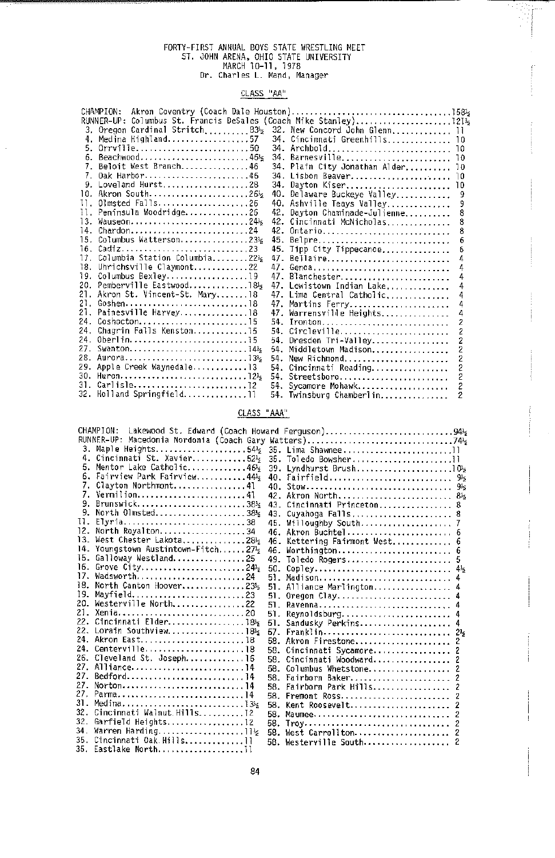# FORTY-FIRST ANNUAL BOK STATE WRESTLING MEET ST. JOHN ARENA, OHIO STATE UNIVERSITY MARCH 10-11, 1978 Dr. Charles L. Mand, Manager

### CLASS "AA"

|     | CHAMPION:                                                               |     |                               |     |
|-----|-------------------------------------------------------------------------|-----|-------------------------------|-----|
|     |                                                                         |     |                               |     |
|     | 3. Oregon Cardinal Stritch83%                                           |     | 32. New Concord John Glenn 11 |     |
|     | Medina Highland57                                                       |     | 34. Cincinnati Greenhills 10  |     |
| 5.  | $0$ rrville50                                                           |     | 34. Archbold 10               |     |
|     | 6. Beachwood46%                                                         | 34. | Barnesville                   | -10 |
|     | 7. Beloit West Branch46                                                 |     | 34. Plain City Jonathan Alder | 10  |
| 7.  | 0ak Harbor46                                                            |     | 34. Lisbon Beaver             | 10  |
|     | 9. Loveland Hurst28                                                     | 34. | Dayton Kiser                  | 10  |
|     | 10. Akron South26%                                                      | 40. | Delaware Buckeye Valley       | 9   |
| 11. | Olmsted Falls26                                                         |     | 40. Ashville Teays Valley     |     |
|     | 11. Peninsula Woodridge26                                               | 42. | Dayton Chaminade-Julienne     | 8   |
| 13. | $W$ auseon24                                                            | 42. | Cincinnati McNicholas         | 8   |
| 14. | $Chardon24$                                                             | 42. | Ontario                       |     |
|     | 15. Columbus Watterson23%                                               | 45. | Belpre                        | h   |
|     | 16. Cadiz23                                                             |     | 45. Tipp City Tippecanoe      | 6   |
| 17. | Columbia Station Columbia22%                                            | 47. | Bellaire                      |     |
|     | 18. Uhrichsville Claymont22                                             |     | 47. Genoa                     |     |
| 19. | Columbus Bexley19                                                       |     | 47. Blanchester               | а   |
|     | 20. Pemberville Eastwood185                                             |     | 47. Lewistown Indian Lake     |     |
|     | 21. Akron St. Vincent-St. Mary18                                        |     | 47. Lima Central Catholic     |     |
| 21. | Goshen $\ldots \ldots \ldots \ldots \ldots \ldots \ldots \ldots \ldots$ |     | 47. Martins Ferry             |     |
| 21. | Painesville Harvey18                                                    |     | 47. Warrensville Heights      |     |
| 24. | Coshocton15                                                             |     | 54. Ironton                   |     |
| 24. | Chagrin Falls Kenston15                                                 |     | 54. Circleville               | 2   |
|     | 24. Oberlin15                                                           | 54. | Dresden Tri-Valley            |     |
|     | 27. Swanton14}                                                          | 54. | Middletown Madison            |     |
|     | 28. Aurora135                                                           | 54. | New Richmond                  |     |
|     | 29. Apple Creek Waynedale13                                             | 54. | Cincinnati Reading            |     |
|     | 30. Huron12k                                                            |     | 54. Streetsboro               |     |
|     |                                                                         | 54. | Sycamore Mohawk               | 2   |
|     | 32. Holland Springfield11                                               |     | 54. Twinsburg Chamberlin      |     |

## CLASS "AAA"

| CHAMPION:<br>Lakewood St. Edward (Coach Howard Ferguson)94} |                                 |        |                                                             |  |
|-------------------------------------------------------------|---------------------------------|--------|-------------------------------------------------------------|--|
|                                                             |                                 |        | RUNNER-UP: Macedonia Nordonia (Coach Gary Watters)74        |  |
|                                                             |                                 |        | 3. Maple Heights54½ 35. Lima Shawnee11                      |  |
| 4.                                                          |                                 |        | Cincinnati St. Xavier52 <sup>1</sup> 2 35. Toledo Bowsher11 |  |
| 5.                                                          | Mentor Lake Catholic46%         |        | 39. Lyndhurst Brush102                                      |  |
|                                                             | 6. Fairview Park Fairview44%    |        |                                                             |  |
|                                                             | Clayton Northmont41             | 40.    |                                                             |  |
|                                                             | 7. Vermilion41                  | 42.    | Akron North 8 <sup>1</sup> 2                                |  |
|                                                             | Brunswick38 }                   | $43 -$ | Cincinnati Princeton 8                                      |  |
|                                                             | North Olmsted38%                | 43.    | Cuyahoga Falls 8                                            |  |
| 11.                                                         | Elyria38                        | 45.    | Willoughby South 7                                          |  |
| 12.                                                         | North Royalton34                | 46.    | Akron Buchtel 6                                             |  |
| 13.                                                         | West Chester Lakota, 2812       | 46.    | Kettering Fairmont West 6                                   |  |
| 14.                                                         | Youngstown Austintown-Fitch2712 | 46.    | Worthington 6                                               |  |
| 15.                                                         | Galloway Westland25             | 49.    | Toledo Rogers                                               |  |
| 16.                                                         | Grove City24%                   | 50.    |                                                             |  |
| 17.                                                         | Wadsworth24                     | 51.    | Madison                                                     |  |
| 18.                                                         | North Canton Hoover235          |        | 51. Alliance Marlington                                     |  |
| 19.                                                         | Mayfield23                      | 51.    | Oregon Clay                                                 |  |
| 20.                                                         | Westerville North22             | 51.    | Ravenna                                                     |  |
| 21.                                                         | Xenia20                         | 51.    | $Reynolds$ burg                                             |  |
| 22.                                                         | Cincinnati Elder18%             | 51.    | Sandusky Perkins                                            |  |
|                                                             | 22. Lorain Southview18%         | 57.    |                                                             |  |
|                                                             | 24. Akron East18                | 58.    | Akron Firestone<br>z                                        |  |
| 24.                                                         | Centerville18                   | 58.    | Cincinnati Sycamore<br>2                                    |  |
|                                                             | 26. Cleveland St. Joseph16      | 58.    | Cincinnati Woodward<br>7                                    |  |
|                                                             | 27. Alliance14                  | 58.    | Columbus Whetstone<br>2                                     |  |
| 27.                                                         | Bedford14                       | 58.    | Fairborn Baker                                              |  |
| 27.                                                         | Norton14                        | 58.    | Fairborn Park Hills                                         |  |
| 27.                                                         | Parma14                         | 58.    | Fremont Ross                                                |  |
| 31.                                                         |                                 | 58.    | Kent Roosevelt                                              |  |
| 32.                                                         | Cincinnati Walnut Hills12       | 58.    | Maumee<br>2                                                 |  |
| 32.                                                         | Garfield Heights12              |        | 58. Troy<br>2                                               |  |
| 34.                                                         | Warren Harding1112              |        | 58. West Carrollton                                         |  |
| 35.                                                         | Cincinnati Oak Hills11          |        | 58. Westerville South                                       |  |
|                                                             | 35. Eastlake North11            |        |                                                             |  |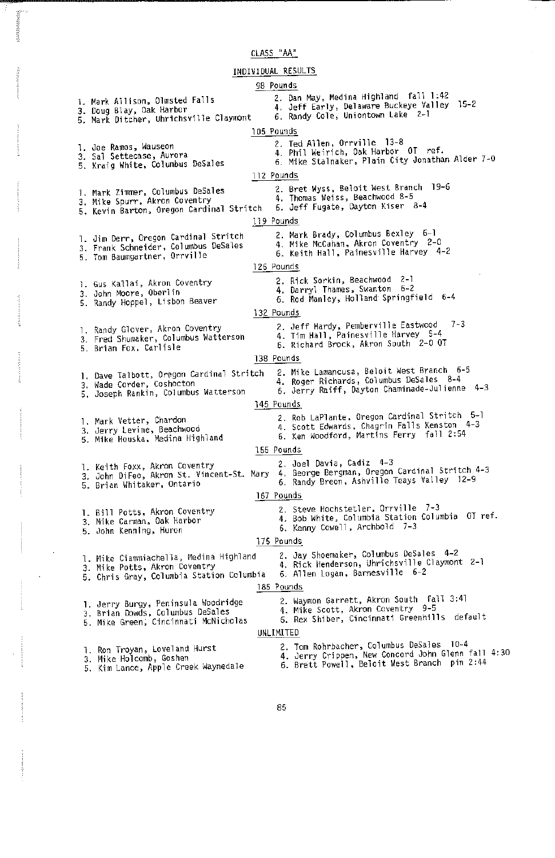CLASS "AA"

**MAGNETING** 

| INDIVIDUAL RESULTS |                                                                                                                     |  |            |                                                                                                                                                |  |  |
|--------------------|---------------------------------------------------------------------------------------------------------------------|--|------------|------------------------------------------------------------------------------------------------------------------------------------------------|--|--|
|                    |                                                                                                                     |  | 98 Pounds  |                                                                                                                                                |  |  |
|                    | 1. Mark Allison, Olmsted Falls<br>3. Doug Blay, Oak Harbor<br>5. Mark Ditcher, Uhrichsville Claymont                |  |            | 2. Dan May, Medina Highland fall 1:42<br>4. Jeff Early, Delaware Buckeye Valley<br>$15 - 2$<br>6. Randy Cole, Uniontown Lake 2-1               |  |  |
|                    |                                                                                                                     |  | 105 Pounds |                                                                                                                                                |  |  |
|                    | 1. Joe Ramos, Wauseon<br>3. Sal Settecase, Aurora<br>5. Kraig White, Columbus DeSales                               |  |            | 2. Ted Allen, Orrville 13-8<br>4. Phil Weirich, Oak Harbor OT ref.<br>6. Mike Stalnaker, Plain City Jonathan Alder 7-0                         |  |  |
|                    | 112 Pounds                                                                                                          |  |            |                                                                                                                                                |  |  |
|                    | 1. Mark Zimmer, Columbus DeSales<br>3. Mike Spurr, Akron Coventry<br>5. Kevin Barton, Oregon Cardinal Stritch       |  |            | 2. Bret Wyss, Beloit West Branch 19-6<br>4. Thomas Weiss, Beachwood 8-5<br>6. Jeff Fugate, Dayton Kiser 8-4                                    |  |  |
|                    |                                                                                                                     |  | 119 Pounds |                                                                                                                                                |  |  |
|                    | 1. Jim Derr, Oregon Cardinal Stritch<br>3. Frank Schneider, Columbus DeSales<br>5. Tom Baumgartner, Orrville        |  |            | 2. Mark Brady, Columbus Bexley - 6-1<br>4. Mike McCahan, Akron Coventry 2-0<br>6. Keith Hall, Painesville Harvey 4-2                           |  |  |
|                    |                                                                                                                     |  | 126 Pounds |                                                                                                                                                |  |  |
|                    | 1. Gus Kallai, Akron Coventry<br>3. John Moore, Oberlin<br>5. Randy Hoppel, Lisbon Beaver                           |  |            | 2. Rick Sorkin, Beachwood 2-1<br>4. Darryl Thames, Swanton 6-2<br>6. Rod Manley, Holland Springfield 6-4                                       |  |  |
|                    |                                                                                                                     |  | 132 Pounds |                                                                                                                                                |  |  |
|                    | 1. Randy Glover, Akron Coventry<br>3. Fred Shumaker, Columbus Watterson<br>5. Brian Fox, Carlisle                   |  |            | $7 - 3$<br>2. Jeff Hardy, Pemberville Eastwood<br>4. Tim Hall, Painesville Harvey 5-4<br>6. Richard Brock, Akron South 2-0 OT                  |  |  |
|                    |                                                                                                                     |  | 138 Pounds |                                                                                                                                                |  |  |
|                    | 1. Dave Talbott, Oregon Cardinal Stritch<br>3. Wade Corder, Coshocton<br>5. Joseph Rankin, Columbus Watterson       |  |            | 2. Mike Lamancusa, Beloit West Branch 6-5<br>4. Roger Richards, Columbus DeSales 8-4<br>6. Jerry Raiff, Dayton Chaminade-Julienne 4-3          |  |  |
|                    |                                                                                                                     |  | 145 Pounds |                                                                                                                                                |  |  |
|                    | 1. Mark Vetter, Chardon<br>3. Jerry Levine, Beachwood<br>5. Mike Houska, Medina Highland                            |  |            | 2. Rob LaPlante, Oregon Cardinal Stritch 5-1<br>4. Scott Edwards, Chagrin Falls Kenston 4-3<br>6. Ken Woodford, Martins Ferry fall 2:54        |  |  |
|                    |                                                                                                                     |  | 155 Pounds |                                                                                                                                                |  |  |
|                    | 1. Keith Foxx, Akron Coventry<br>3. John DiFeo, Akron St. Vincent-St. Mary<br>5. Brian Whitaker, Ontario            |  |            | 2. Joel Davia, Cadiz 4-3<br>4. George Bergman, Oregon Cardinal Stritch 4-3<br>6. Randy Breon, Ashville Teays Valley 12-9                       |  |  |
|                    |                                                                                                                     |  | 167 Pounds |                                                                                                                                                |  |  |
|                    | 1. Bill Potts, Akron Coventry<br>3. Mike Carman, Oak Harbor<br>5. John Kenning, Huron                               |  |            | 2. Steve Hochstetler, Orrville 7-3<br>4. Bob White, Columbia Station Columbia 0T ref.<br>6. Kenny Cowell, Archbold 7-3                         |  |  |
|                    | 175 Pounds                                                                                                          |  |            |                                                                                                                                                |  |  |
|                    | l. Mike Ciammiachella, Medina Highland<br>3. Mike Potts, Akron Coventry<br>5. Chris Gray, Columbia Station Columbia |  |            | 2. Jay Shoemaker, Columbus DeSales 4-2<br>4. Rick Henderson, Uhrichsville Claymont 2-1<br>6. Allen Logan, Barnesville 6-2                      |  |  |
|                    | 185 Pounds                                                                                                          |  |            |                                                                                                                                                |  |  |
|                    | 1. Jerry Burgy, Peninsula Woodridge<br>3. Brian Dowds, Columbus DeSales<br>5. Mike Green, Cincinnati McNicholas     |  |            | 2. Waymon Garrett, Akron South fall 3:41<br>4. Mike Scott, Akron Coventry 9-5<br>6. Rex Shiber, Cincinnati Greenhills default                  |  |  |
| UNLIMITED          |                                                                                                                     |  |            |                                                                                                                                                |  |  |
|                    | 1. Ron Troyan, Loveland Hurst<br>3. Mike Holcomb, Goshen<br>5. Kim Lance, Apple Creek Waynedale                     |  |            | 2. Tom Rohrbacher, Columbus DeSales 10-4<br>4. Jerry Crippen, New Concord John Glenn fall 4:30<br>6. Brett Powell, Beloit West Branch pin 2:44 |  |  |

85